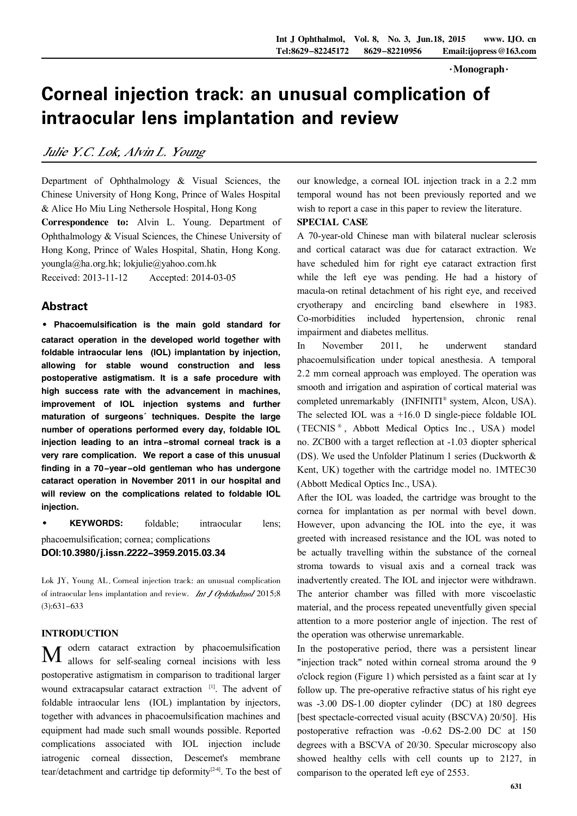$\cdot$ Monograph $\cdot$ 

# Corneal injection track: an unusual complication of intraocular lens implantation and review

Julie Y.C. Lok, Alvin L. Young

Department of Ophthalmology & Visual Sciences, the Chinese University of Hong Kong, Prince of Wales Hospital & Alice Ho Miu Ling Nethersole Hospital, Hong Kong Correspondence to: Alvin L. Young. Department of Ophthalmology & Visual Sciences, the Chinese University of Hong Kong, Prince of Wales Hospital, Shatin, Hong Kong. youngla@ha.org.hk; lokjulie@yahoo.com.hk Received: 2013-11-12 Accepted: 2014-03-05

## Abstract

· Phacoemulsification is the main gold standard for cataract operation in the developed world together with foldable intraocular lens (IOL) implantation by injection, allowing for stable wound construction and less postoperative astigmatism. It is a safe procedure with high success rate with the advancement in machines, improvement of IOL injection systems and further maturation of surgeons' techniques. Despite the large number of operations performed every day, foldable IOL injection leading to an intra -stromal corneal track is a very rare complication. We report a case of this unusual finding in a 70-year-old gentleman who has undergone cataract operation in November 2011 in our hospital and will review on the complications related to foldable IOL injection.

· KEYWORDS: foldable; intraocular lens; phacoemulsification; cornea; complications DOI:10.3980/j.issn.2222-3959.2015.03.34

Lok JY, Young AL Corneal injection track: an unusual complication of intraocular lens implantation and review. *Int J Ophthalmol* 2015;8 (3):631-633

## INTRODUCTION

M odern cataract extraction by phacoemulsification allows for self-sealing corneal incisions with less postoperative astigmatism in comparison to traditional larger wound extracapsular cataract extraction [1]. The advent of foldable intraocular lens (IOL) implantation by injectors, together with advances in phacoemulsification machines and equipment had made such small wounds possible. Reported complications associated with IOL injection include iatrogenic corneal dissection, Descemet's membrane tear/detachment and cartridge tip deformity<sup>[2-4]</sup>. To the best of

our knowledge, a corneal IOL injection track in a 2.2 mm temporal wound has not been previously reported and we wish to report a case in this paper to review the literature.

# SPECIAL CASE

A 70-year-old Chinese man with bilateral nuclear sclerosis and cortical cataract was due for cataract extraction. We have scheduled him for right eye cataract extraction first while the left eye was pending. He had a history of macula-on retinal detachment of his right eye, and received cryotherapy and encircling band elsewhere in 1983. Co-morbidities included hypertension, chronic renal impairment and diabetes mellitus.

In November 2011, he underwent standard phacoemulsification under topical anesthesia. A temporal 2.2 mm corneal approach was employed. The operation was smooth and irrigation and aspiration of cortical material was completed unremarkably (INFINITI® system, Alcon, USA). The selected IOL was a +16.0 D single-piece foldable IOL (TECNIS<sup>®</sup>, Abbott Medical Optics Inc., USA) model no. ZCB00 with a target reflection at -1.03 diopter spherical (DS). We used the Unfolder Platinum 1 series (Duckworth & Kent, UK) together with the cartridge model no. 1MTEC30 (Abbott Medical Optics Inc., USA).

After the IOL was loaded, the cartridge was brought to the cornea for implantation as per normal with bevel down. However, upon advancing the IOL into the eye, it was greeted with increased resistance and the IOL was noted to be actually travelling within the substance of the corneal stroma towards to visual axis and a corneal track was inadvertently created. The IOL and injector were withdrawn. The anterior chamber was filled with more viscoelastic material, and the process repeated uneventfully given special attention to a more posterior angle of injection. The rest of the operation was otherwise unremarkable.

In the postoperative period, there was a persistent linear "injection track" noted within corneal stroma around the 9 o'clock region (Figure 1) which persisted as a faint scar at 1y follow up. The pre-operative refractive status of his right eye was -3.00 DS-1.00 diopter cylinder (DC) at 180 degrees [best spectacle-corrected visual acuity (BSCVA) 20/50]. His postoperative refraction was -0.62 DS-2.00 DC at 150 degrees with a BSCVA of 20/30. Specular microscopy also showed healthy cells with cell counts up to 2127, in comparison to the operated left eye of 2553.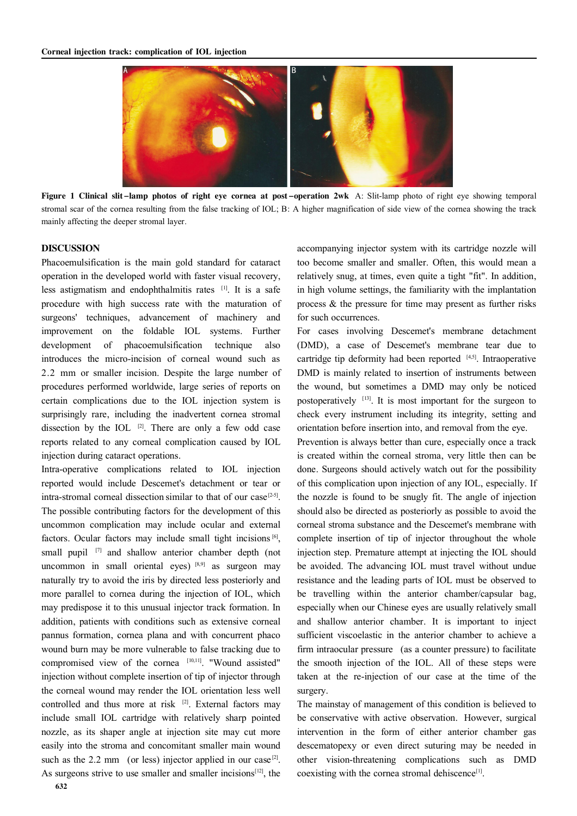

Figure 1 Clinical slit-lamp photos of right eye cornea at post-operation 2wk A: Slit-lamp photo of right eye showing temporal stromal scar of the cornea resulting from the false tracking of IOL; B: A higher magnification of side view of the cornea showing the track mainly affecting the deeper stromal layer.

#### DISCUSSION

Phacoemulsification is the main gold standard for cataract operation in the developed world with faster visual recovery, less astigmatism and endophthalmitis rates [1]. It is a safe procedure with high success rate with the maturation of surgeons' techniques, advancement of machinery and improvement on the foldable IOL systems. Further development of phacoemulsification technique also introduces the micro-incision of corneal wound such as 2.2 mm or smaller incision. Despite the large number of procedures performed worldwide, large series of reports on certain complications due to the IOL injection system is surprisingly rare, including the inadvertent cornea stromal dissection by the IOL  $[2]$ . There are only a few odd case reports related to any corneal complication caused by IOL injection during cataract operations.

Intra-operative complications related to IOL injection reported would include Descemet's detachment or tear or intra-stromal corneal dissection similar to that of our case<sup>[2-5]</sup>. The possible contributing factors for the development of this uncommon complication may include ocular and external factors. Ocular factors may include small tight incisions<sup>[6]</sup>, small pupil <sup>[7]</sup> and shallow anterior chamber depth (not uncommon in small oriental eyes) [8,9] as surgeon may naturally try to avoid the iris by directed less posteriorly and more parallel to cornea during the injection of IOL, which may predispose it to this unusual injector track formation. In addition, patients with conditions such as extensive corneal pannus formation, cornea plana and with concurrent phaco wound burn may be more vulnerable to false tracking due to compromised view of the cornea [10,11]. "Wound assisted" injection without complete insertion of tip of injector through the corneal wound may render the IOL orientation less well controlled and thus more at risk  $[2]$ . External factors may include small IOL cartridge with relatively sharp pointed nozzle, as its shaper angle at injection site may cut more easily into the stroma and concomitant smaller main wound such as the 2.2 mm (or less) injector applied in our case<sup>[2]</sup>. As surgeons strive to use smaller and smaller incisions $[12]$ , the

accompanying injector system with its cartridge nozzle will too become smaller and smaller. Often, this would mean a relatively snug, at times, even quite a tight "fit". In addition, in high volume settings, the familiarity with the implantation process & the pressure for time may present as further risks for such occurrences.

For cases involving Descemet's membrane detachment (DMD), a case of Descemet's membrane tear due to cartridge tip deformity had been reported  $[4,5]$ . Intraoperative DMD is mainly related to insertion of instruments between the wound, but sometimes a DMD may only be noticed postoperatively  $[13]$ . It is most important for the surgeon to check every instrument including its integrity, setting and orientation before insertion into, and removal from the eye.

Prevention is always better than cure, especially once a track is created within the corneal stroma, very little then can be done. Surgeons should actively watch out for the possibility of this complication upon injection of any IOL, especially. If the nozzle is found to be snugly fit. The angle of injection should also be directed as posteriorly as possible to avoid the corneal stroma substance and the Descemet's membrane with complete insertion of tip of injector throughout the whole injection step. Premature attempt at injecting the IOL should be avoided. The advancing IOL must travel without undue resistance and the leading parts of IOL must be observed to be travelling within the anterior chamber/capsular bag, especially when our Chinese eyes are usually relatively small and shallow anterior chamber. It is important to inject sufficient viscoelastic in the anterior chamber to achieve a firm intraocular pressure (as a counter pressure) to facilitate the smooth injection of the IOL. All of these steps were taken at the re-injection of our case at the time of the surgery.

The mainstay of management of this condition is believed to be conservative with active observation. However, surgical intervention in the form of either anterior chamber gas descematopexy or even direct suturing may be needed in other vision-threatening complications such as DMD coexisting with the cornea stromal dehiscence<sup>[1]</sup>.